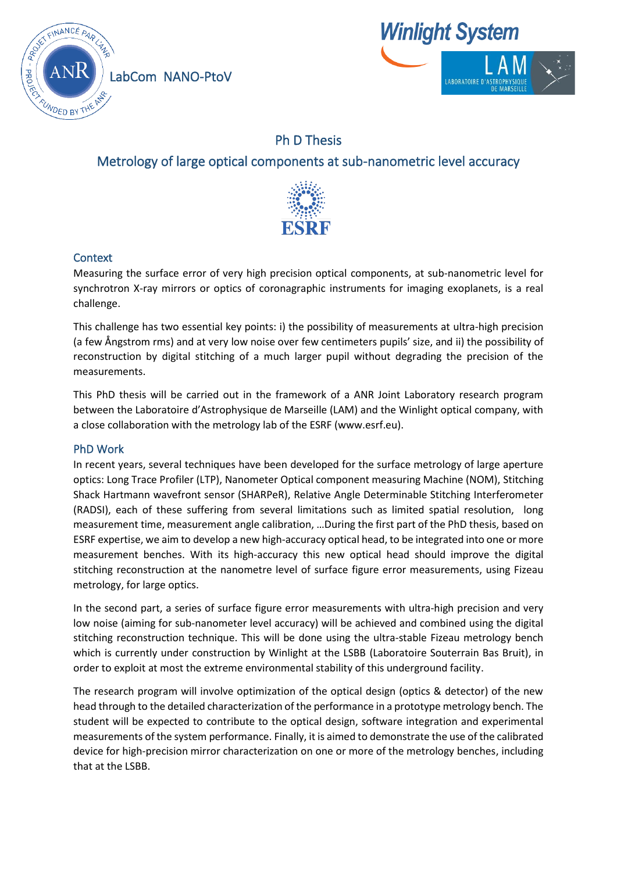

**Winlight System** 

# Ph D Thesis

## Metrology of large optical components at sub-nanometric level accuracy



## **Context**

Measuring the surface error of very high precision optical components, at sub-nanometric level for synchrotron X-ray mirrors or optics of coronagraphic instruments for imaging exoplanets, is a real challenge.

This challenge has two essential key points: i) the possibility of measurements at ultra-high precision (a few Ångstrom rms) and at very low noise over few centimeters pupils' size, and ii) the possibility of reconstruction by digital stitching of a much larger pupil without degrading the precision of the measurements.

This PhD thesis will be carried out in the framework of a ANR Joint Laboratory research program between the Laboratoire d'Astrophysique de Marseille (LAM) and the Winlight optical company, with a close collaboration with the metrology lab of the ESRF (www.esrf.eu).

## PhD Work

In recent years, several techniques have been developed for the surface metrology of large aperture optics: Long Trace Profiler (LTP), Nanometer Optical component measuring Machine (NOM), Stitching Shack Hartmann wavefront sensor (SHARPeR), Relative Angle Determinable Stitching Interferometer (RADSI), each of these suffering from several limitations such as limited spatial resolution, long measurement time, measurement angle calibration, …During the first part of the PhD thesis, based on ESRF expertise, we aim to develop a new high-accuracy optical head, to be integrated into one or more measurement benches. With its high-accuracy this new optical head should improve the digital stitching reconstruction at the nanometre level of surface figure error measurements, using Fizeau metrology, for large optics.

In the second part, a series of surface figure error measurements with ultra-high precision and very low noise (aiming for sub-nanometer level accuracy) will be achieved and combined using the digital stitching reconstruction technique. This will be done using the ultra-stable Fizeau metrology bench which is currently under construction by Winlight at the LSBB (Laboratoire Souterrain Bas Bruit), in order to exploit at most the extreme environmental stability of this underground facility.

The research program will involve optimization of the optical design (optics & detector) of the new head through to the detailed characterization of the performance in a prototype metrology bench. The student will be expected to contribute to the optical design, software integration and experimental measurements of the system performance. Finally, it is aimed to demonstrate the use of the calibrated device for high-precision mirror characterization on one or more of the metrology benches, including that at the LSBB.